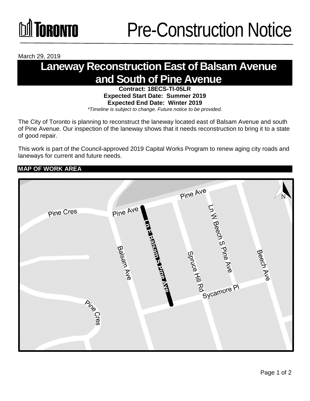## *<u>GRANTA</u>*

March 29, 2019

### **Laneway Reconstruction East of Balsam Avenue and South of Pine Avenue**

**Contract: 18ECS-TI-05LR Expected Start Date: Summer 2019 Expected End Date: Winter 2019** *\*Timeline is subject to change. Future notice to be provided.*

The City of Toronto is planning to reconstruct the laneway located east of Balsam Avenue and south of Pine Avenue. Our inspection of the laneway shows that it needs reconstruction to bring it to a state of good repair.

This work is part of the Council-approved 2019 Capital Works Program to renew aging city roads and laneways for current and future needs.

#### **MAP OF WORK AREA**

|                  |                                                                | Pine Ave                                          | N         |
|------------------|----------------------------------------------------------------|---------------------------------------------------|-----------|
| <b>Pine Cres</b> | Pine Ave                                                       |                                                   |           |
|                  |                                                                |                                                   |           |
|                  | <b>TELES AND REAL PROPERTY AND REAL PROPERTY</b><br>Balsam Ave | Ln VI Beech S Pine Ave<br>Springed Manufacture PI |           |
|                  |                                                                |                                                   | Beech Ave |
|                  |                                                                |                                                   |           |
| <b>Pine</b>      |                                                                |                                                   |           |
|                  |                                                                |                                                   |           |
|                  |                                                                |                                                   |           |